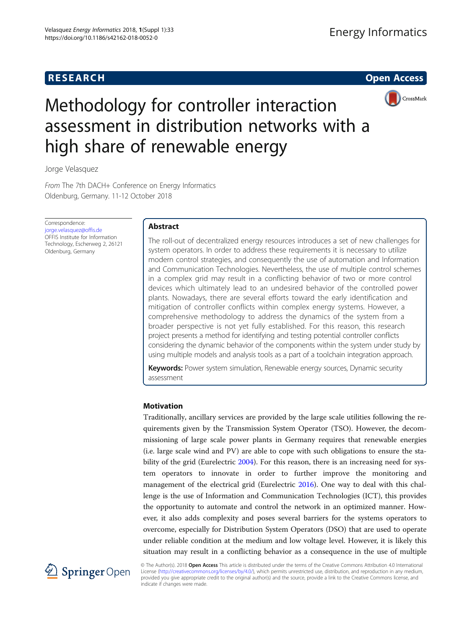# **RESEARCH RESEARCH CONSUMING ACCESS**



# Methodology for controller interaction assessment in distribution networks with a high share of renewable energy

Jorge Velasquez

From The 7th DACH+ Conference on Energy Informatics Oldenburg, Germany. 11-12 October 2018

Correspondence: [jorge.velasquez@offis.de](mailto:jorge.velasquez@offis.de) OFFIS Institute for Information Technology, Escherweg 2, 26121 Oldenburg, Germany

# Abstract

The roll-out of decentralized energy resources introduces a set of new challenges for system operators. In order to address these requirements it is necessary to utilize modern control strategies, and consequently the use of automation and Information and Communication Technologies. Nevertheless, the use of multiple control schemes in a complex grid may result in a conflicting behavior of two or more control devices which ultimately lead to an undesired behavior of the controlled power plants. Nowadays, there are several efforts toward the early identification and mitigation of controller conflicts within complex energy systems. However, a comprehensive methodology to address the dynamics of the system from a broader perspective is not yet fully established. For this reason, this research project presents a method for identifying and testing potential controller conflicts considering the dynamic behavior of the components within the system under study by using multiple models and analysis tools as a part of a toolchain integration approach.

Keywords: Power system simulation, Renewable energy sources, Dynamic security assessment

# Motivation

Traditionally, ancillary services are provided by the large scale utilities following the requirements given by the Transmission System Operator (TSO). However, the decommissioning of large scale power plants in Germany requires that renewable energies (i.e. large scale wind and PV) are able to cope with such obligations to ensure the sta-bility of the grid (Eurelectric [2004](#page-5-0)). For this reason, there is an increasing need for system operators to innovate in order to further improve the monitoring and management of the electrical grid (Eurelectric [2016](#page-5-0)). One way to deal with this challenge is the use of Information and Communication Technologies (ICT), this provides the opportunity to automate and control the network in an optimized manner. However, it also adds complexity and poses several barriers for the systems operators to overcome, especially for Distribution System Operators (DSO) that are used to operate under reliable condition at the medium and low voltage level. However, it is likely this situation may result in a conflicting behavior as a consequence in the use of multiple



© The Author(s). 2018 Open Access This article is distributed under the terms of the Creative Commons Attribution 4.0 International License [\(http://creativecommons.org/licenses/by/4.0/](http://creativecommons.org/licenses/by/4.0/)), which permits unrestricted use, distribution, and reproduction in any medium, provided you give appropriate credit to the original author(s) and the source, provide a link to the Creative Commons license, and indicate if changes were made.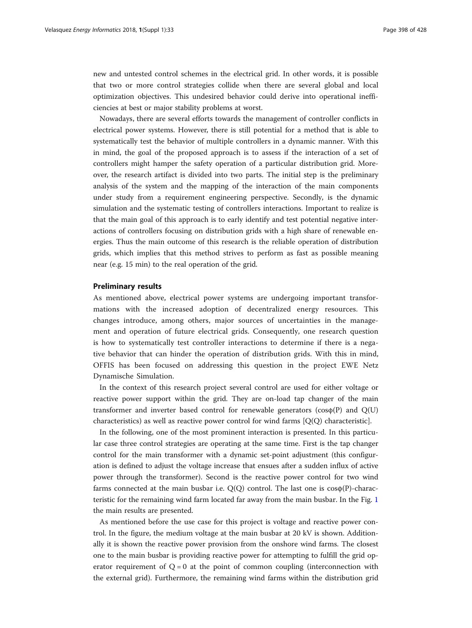new and untested control schemes in the electrical grid. In other words, it is possible that two or more control strategies collide when there are several global and local optimization objectives. This undesired behavior could derive into operational inefficiencies at best or major stability problems at worst.

Nowadays, there are several efforts towards the management of controller conflicts in electrical power systems. However, there is still potential for a method that is able to systematically test the behavior of multiple controllers in a dynamic manner. With this in mind, the goal of the proposed approach is to assess if the interaction of a set of controllers might hamper the safety operation of a particular distribution grid. Moreover, the research artifact is divided into two parts. The initial step is the preliminary analysis of the system and the mapping of the interaction of the main components under study from a requirement engineering perspective. Secondly, is the dynamic simulation and the systematic testing of controllers interactions. Important to realize is that the main goal of this approach is to early identify and test potential negative interactions of controllers focusing on distribution grids with a high share of renewable energies. Thus the main outcome of this research is the reliable operation of distribution grids, which implies that this method strives to perform as fast as possible meaning near (e.g. 15 min) to the real operation of the grid.

#### Preliminary results

As mentioned above, electrical power systems are undergoing important transformations with the increased adoption of decentralized energy resources. This changes introduce, among others, major sources of uncertainties in the management and operation of future electrical grids. Consequently, one research question is how to systematically test controller interactions to determine if there is a negative behavior that can hinder the operation of distribution grids. With this in mind, OFFIS has been focused on addressing this question in the project EWE Netz Dynamische Simulation.

In the context of this research project several control are used for either voltage or reactive power support within the grid. They are on-load tap changer of the main transformer and inverter based control for renewable generators ( $cos\phi(P)$  and  $Q(U)$ ) characteristics) as well as reactive power control for wind farms [Q(Q) characteristic].

In the following, one of the most prominent interaction is presented. In this particular case three control strategies are operating at the same time. First is the tap changer control for the main transformer with a dynamic set-point adjustment (this configuration is defined to adjust the voltage increase that ensues after a sudden influx of active power through the transformer). Second is the reactive power control for two wind farms connected at the main busbar i.e.  $Q(Q)$  control. The last one is  $cos\phi(P)$ -characteristic for the remaining wind farm located far away from the main busbar. In the Fig. [1](#page-2-0) the main results are presented.

As mentioned before the use case for this project is voltage and reactive power control. In the figure, the medium voltage at the main busbar at 20 kV is shown. Additionally it is shown the reactive power provision from the onshore wind farms. The closest one to the main busbar is providing reactive power for attempting to fulfill the grid operator requirement of  $Q = 0$  at the point of common coupling (interconnection with the external grid). Furthermore, the remaining wind farms within the distribution grid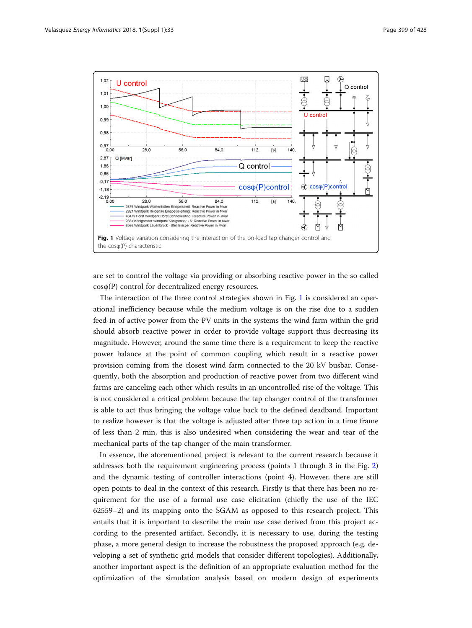<span id="page-2-0"></span>

are set to control the voltage via providing or absorbing reactive power in the so called cosφ(P) control for decentralized energy resources.

The interaction of the three control strategies shown in Fig. 1 is considered an operational inefficiency because while the medium voltage is on the rise due to a sudden feed-in of active power from the PV units in the systems the wind farm within the grid should absorb reactive power in order to provide voltage support thus decreasing its magnitude. However, around the same time there is a requirement to keep the reactive power balance at the point of common coupling which result in a reactive power provision coming from the closest wind farm connected to the 20 kV busbar. Consequently, both the absorption and production of reactive power from two different wind farms are canceling each other which results in an uncontrolled rise of the voltage. This is not considered a critical problem because the tap changer control of the transformer is able to act thus bringing the voltage value back to the defined deadband. Important to realize however is that the voltage is adjusted after three tap action in a time frame of less than 2 min, this is also undesired when considering the wear and tear of the mechanical parts of the tap changer of the main transformer.

In essence, the aforementioned project is relevant to the current research because it addresses both the requirement engineering process (points 1 through 3 in the Fig. [2](#page-3-0)) and the dynamic testing of controller interactions (point 4). However, there are still open points to deal in the context of this research. Firstly is that there has been no requirement for the use of a formal use case elicitation (chiefly the use of the IEC 62559–2) and its mapping onto the SGAM as opposed to this research project. This entails that it is important to describe the main use case derived from this project according to the presented artifact. Secondly, it is necessary to use, during the testing phase, a more general design to increase the robustness the proposed approach (e.g. developing a set of synthetic grid models that consider different topologies). Additionally, another important aspect is the definition of an appropriate evaluation method for the optimization of the simulation analysis based on modern design of experiments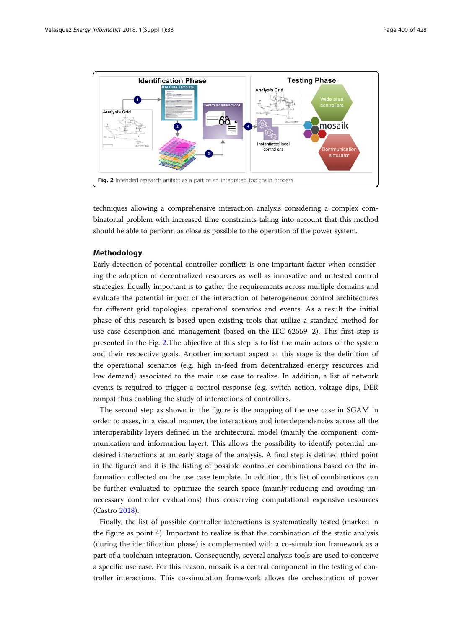<span id="page-3-0"></span>

techniques allowing a comprehensive interaction analysis considering a complex combinatorial problem with increased time constraints taking into account that this method should be able to perform as close as possible to the operation of the power system.

### Methodology

Early detection of potential controller conflicts is one important factor when considering the adoption of decentralized resources as well as innovative and untested control strategies. Equally important is to gather the requirements across multiple domains and evaluate the potential impact of the interaction of heterogeneous control architectures for different grid topologies, operational scenarios and events. As a result the initial phase of this research is based upon existing tools that utilize a standard method for use case description and management (based on the IEC 62559–2). This first step is presented in the Fig. 2.The objective of this step is to list the main actors of the system and their respective goals. Another important aspect at this stage is the definition of the operational scenarios (e.g. high in-feed from decentralized energy resources and low demand) associated to the main use case to realize. In addition, a list of network events is required to trigger a control response (e.g. switch action, voltage dips, DER ramps) thus enabling the study of interactions of controllers.

The second step as shown in the figure is the mapping of the use case in SGAM in order to asses, in a visual manner, the interactions and interdependencies across all the interoperability layers defined in the architectural model (mainly the component, communication and information layer). This allows the possibility to identify potential undesired interactions at an early stage of the analysis. A final step is defined (third point in the figure) and it is the listing of possible controller combinations based on the information collected on the use case template. In addition, this list of combinations can be further evaluated to optimize the search space (mainly reducing and avoiding unnecessary controller evaluations) thus conserving computational expensive resources (Castro [2018](#page-5-0)).

Finally, the list of possible controller interactions is systematically tested (marked in the figure as point 4). Important to realize is that the combination of the static analysis (during the identification phase) is complemented with a co-simulation framework as a part of a toolchain integration. Consequently, several analysis tools are used to conceive a specific use case. For this reason, mosaik is a central component in the testing of controller interactions. This co-simulation framework allows the orchestration of power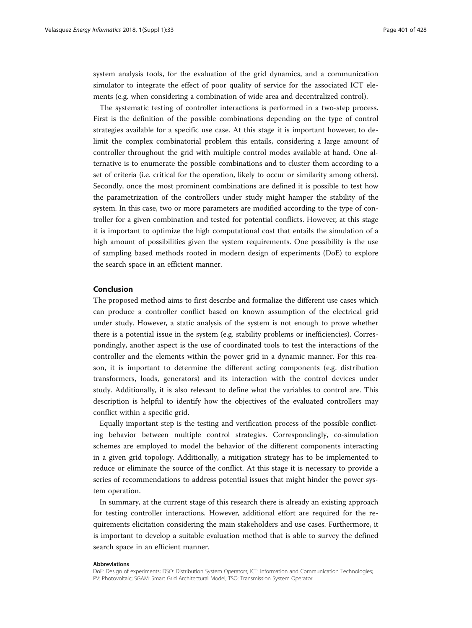system analysis tools, for the evaluation of the grid dynamics, and a communication simulator to integrate the effect of poor quality of service for the associated ICT elements (e.g. when considering a combination of wide area and decentralized control).

The systematic testing of controller interactions is performed in a two-step process. First is the definition of the possible combinations depending on the type of control strategies available for a specific use case. At this stage it is important however, to delimit the complex combinatorial problem this entails, considering a large amount of controller throughout the grid with multiple control modes available at hand. One alternative is to enumerate the possible combinations and to cluster them according to a set of criteria (i.e. critical for the operation, likely to occur or similarity among others). Secondly, once the most prominent combinations are defined it is possible to test how the parametrization of the controllers under study might hamper the stability of the system. In this case, two or more parameters are modified according to the type of controller for a given combination and tested for potential conflicts. However, at this stage it is important to optimize the high computational cost that entails the simulation of a high amount of possibilities given the system requirements. One possibility is the use of sampling based methods rooted in modern design of experiments (DoE) to explore the search space in an efficient manner.

# Conclusion

The proposed method aims to first describe and formalize the different use cases which can produce a controller conflict based on known assumption of the electrical grid under study. However, a static analysis of the system is not enough to prove whether there is a potential issue in the system (e.g. stability problems or inefficiencies). Correspondingly, another aspect is the use of coordinated tools to test the interactions of the controller and the elements within the power grid in a dynamic manner. For this reason, it is important to determine the different acting components (e.g. distribution transformers, loads, generators) and its interaction with the control devices under study. Additionally, it is also relevant to define what the variables to control are. This description is helpful to identify how the objectives of the evaluated controllers may conflict within a specific grid.

Equally important step is the testing and verification process of the possible conflicting behavior between multiple control strategies. Correspondingly, co-simulation schemes are employed to model the behavior of the different components interacting in a given grid topology. Additionally, a mitigation strategy has to be implemented to reduce or eliminate the source of the conflict. At this stage it is necessary to provide a series of recommendations to address potential issues that might hinder the power system operation.

In summary, at the current stage of this research there is already an existing approach for testing controller interactions. However, additional effort are required for the requirements elicitation considering the main stakeholders and use cases. Furthermore, it is important to develop a suitable evaluation method that is able to survey the defined search space in an efficient manner.

#### Abbreviations

DoE: Design of experiments; DSO: Distribution System Operators; ICT: Information and Communication Technologies; PV: Photovoltaic; SGAM: Smart Grid Architectural Model; TSO: Transmission System Operator